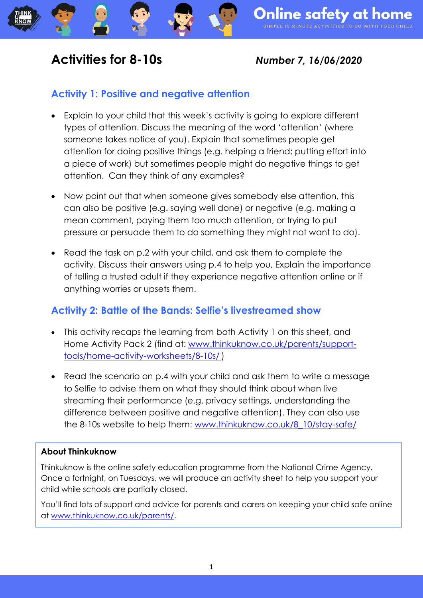## **Activities for 8-10s** *Number 7, 16/06/2020*

## **Activity 1: Positive and negative attention**

- Explain to your child that this week's activity is going to explore different types of attention. Discuss the meaning of the word 'attention' (where someone takes notice of you). Explain that sometimes people get attention for doing positive things (e.g. helping a friend; putting effort into a piece of work) but sometimes people might do negative things to get attention. Can they think of any examples?
- Now point out that when someone gives somebody else attention, this can also be positive (e.g. saying well done) or negative (e.g. making a mean comment, paying them too much attention, or trying to put pressure or persuade them to do something they might not want to do).
- Read the task on p.2 with your child, and ask them to complete the activity. Discuss their answers using p.4 to help you, Explain the importance of telling a trusted adult if they experience negative attention online or if anything worries or upsets them.

## **Activity 2: Battle of the Bands: Selfie's livestreamed show**

- This activity recaps the learning from both Activity 1 on this sheet, and Home Activity Pack 2 (find at: [www.thinkuknow.co.uk/parents/support](http://www.thinkuknow.co.uk/parents/support-tools/home-activity-worksheets/8-10s/)[tools/home-activity-worksheets/8-10s/](http://www.thinkuknow.co.uk/parents/support-tools/home-activity-worksheets/8-10s/) )
- Read the scenario on p.4 with your child and ask them to write a message to Selfie to advise them on what they should think about when live streaming their performance (e.g. privacy settings, understanding the difference between positive and negative attention). They can also use the 8-10s website to help them: [www.thinkuknow.co.uk/8\\_10/stay-safe/](http://www.thinkuknow.co.uk/8_10/stay-safe/)

### **About Thinkuknow**

Thinkuknow is the online safety education programme from the National Crime Agency. Once a fortnight, on Tuesdays, we will produce an activity sheet to help you support your child while schools are partially closed.

You'll find lots of support and advice for parents and carers on keeping your child safe online at [www.thinkuknow.co.uk/parents/.](http://www.thinkuknow.co.uk/parents/)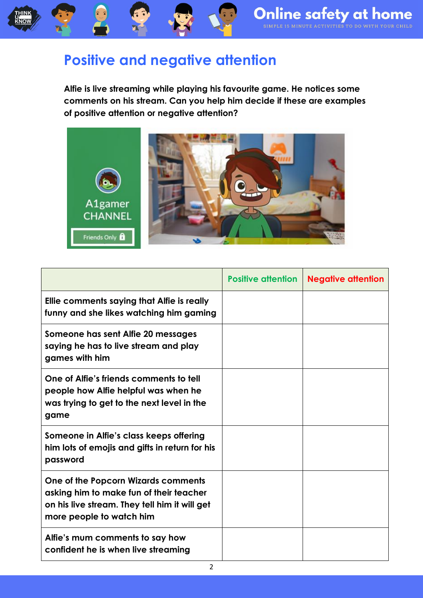# **Positive and negative attention**

**Alfie is live streaming while playing his favourite game. He notices some comments on his stream. Can you help him decide if these are examples of positive attention or negative attention?**



|                                                                                                                                                             | <b>Positive attention</b> | <b>Negative attention</b> |
|-------------------------------------------------------------------------------------------------------------------------------------------------------------|---------------------------|---------------------------|
| Ellie comments saying that Alfie is really<br>funny and she likes watching him gaming                                                                       |                           |                           |
| Someone has sent Alfie 20 messages<br>saying he has to live stream and play<br>games with him                                                               |                           |                           |
| One of Alfie's friends comments to tell<br>people how Alfie helpful was when he<br>was trying to get to the next level in the<br>game                       |                           |                           |
| Someone in Alfie's class keeps offering<br>him lots of emojis and gifts in return for his<br>password                                                       |                           |                           |
| One of the Popcorn Wizards comments<br>asking him to make fun of their teacher<br>on his live stream. They tell him it will get<br>more people to watch him |                           |                           |
| Alfie's mum comments to say how<br>confident he is when live streaming                                                                                      |                           |                           |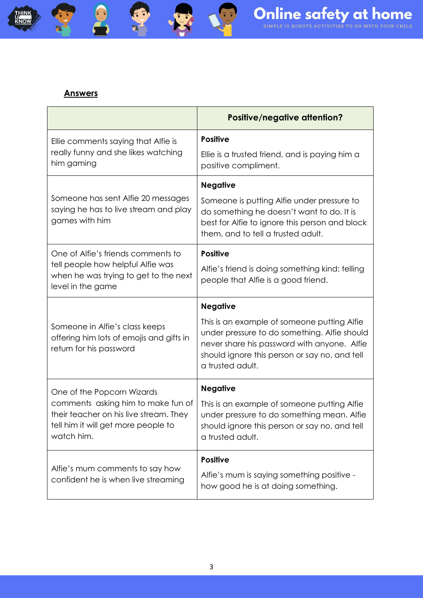#### **Answers**

THINK<br>ULIOW

3

 $6.7$ 

|                                                                                                                                   | <b>Positive/negative attention?</b>                                                                                                                                                                             |
|-----------------------------------------------------------------------------------------------------------------------------------|-----------------------------------------------------------------------------------------------------------------------------------------------------------------------------------------------------------------|
| Ellie comments saying that Alfie is<br>really funny and she likes watching                                                        | <b>Positive</b><br>Ellie is a trusted friend, and is paying him a                                                                                                                                               |
| him gaming                                                                                                                        | positive compliment.                                                                                                                                                                                            |
|                                                                                                                                   | <b>Negative</b>                                                                                                                                                                                                 |
| Someone has sent Alfie 20 messages<br>saying he has to live stream and play<br>games with him                                     | Someone is putting Alfie under pressure to<br>do something he doesn't want to do. It is<br>best for Alfie to ignore this person and block<br>them, and to tell a trusted adult.                                 |
| One of Alfie's friends comments to                                                                                                | <b>Positive</b>                                                                                                                                                                                                 |
| tell people how helpful Alfie was<br>when he was trying to get to the next<br>level in the game                                   | Alfie's friend is doing something kind: telling<br>people that Alfie is a good friend.                                                                                                                          |
|                                                                                                                                   | <b>Negative</b>                                                                                                                                                                                                 |
| Someone in Alfie's class keeps<br>offering him lots of emojis and gifts in<br>return for his password                             | This is an example of someone putting Alfie<br>under pressure to do something. Alfie should<br>never share his password with anyone. Alfie<br>should ignore this person or say no, and tell<br>a trusted adult. |
| One of the Popcorn Wizards                                                                                                        | <b>Negative</b>                                                                                                                                                                                                 |
| comments asking him to make fun of<br>their teacher on his live stream. They<br>tell him it will get more people to<br>watch him. | This is an example of someone putting Alfie<br>under pressure to do something mean. Alfie<br>should ignore this person or say no, and tell<br>a trusted adult.                                                  |
| Alfie's mum comments to say how                                                                                                   | <b>Positive</b>                                                                                                                                                                                                 |
| confident he is when live streaming                                                                                               | Alfie's mum is saying something positive -<br>how good he is at doing something.                                                                                                                                |